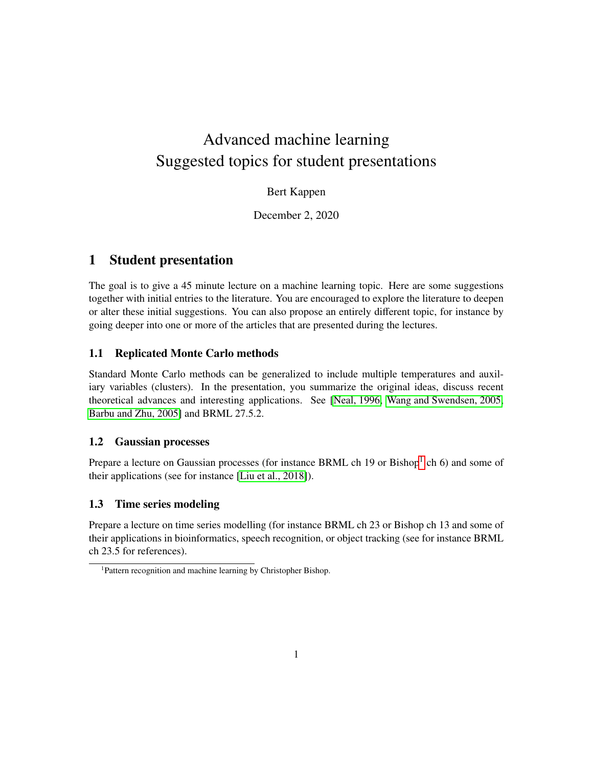# Advanced machine learning Suggested topics for student presentations

## Bert Kappen

December 2, 2020

# 1 Student presentation

The goal is to give a 45 minute lecture on a machine learning topic. Here are some suggestions together with initial entries to the literature. You are encouraged to explore the literature to deepen or alter these initial suggestions. You can also propose an entirely different topic, for instance by going deeper into one or more of the articles that are presented during the lectures.

## 1.1 Replicated Monte Carlo methods

Standard Monte Carlo methods can be generalized to include multiple temperatures and auxiliary variables (clusters). In the presentation, you summarize the original ideas, discuss recent theoretical advances and interesting applications. See [\[Neal, 1996,](#page-2-0) [Wang and Swendsen, 2005,](#page-2-1) [Barbu and Zhu, 2005\]](#page-2-2) and BRML 27.5.2.

#### 1.2 Gaussian processes

Prepare a lecture on Gaussian processes (for instance BRML ch [1](#page-0-0)9 or Bishop<sup>1</sup> ch 6) and some of their applications (see for instance [\[Liu et al., 2018\]](#page-2-3)).

## 1.3 Time series modeling

Prepare a lecture on time series modelling (for instance BRML ch 23 or Bishop ch 13 and some of their applications in bioinformatics, speech recognition, or object tracking (see for instance BRML ch 23.5 for references).

<span id="page-0-0"></span><sup>1</sup>Pattern recognition and machine learning by Christopher Bishop.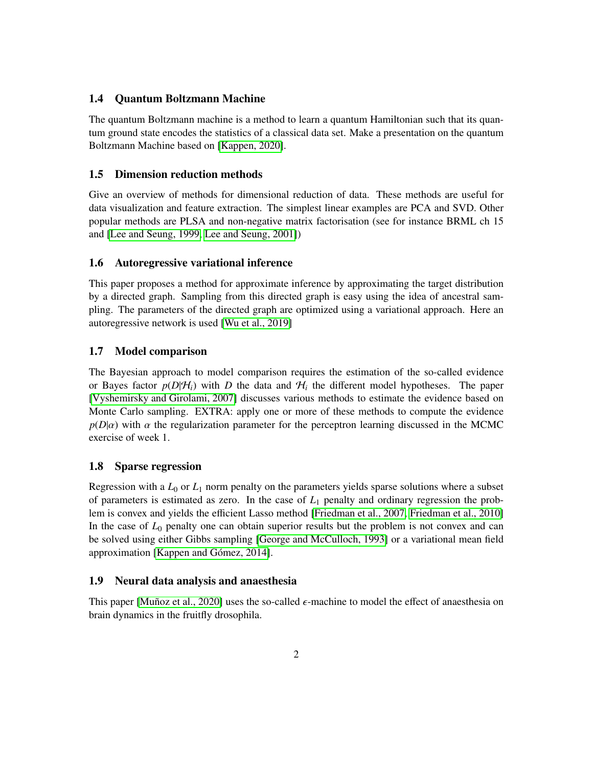#### 1.4 Quantum Boltzmann Machine

The quantum Boltzmann machine is a method to learn a quantum Hamiltonian such that its quantum ground state encodes the statistics of a classical data set. Make a presentation on the quantum Boltzmann Machine based on [\[Kappen, 2020\]](#page-2-4).

#### 1.5 Dimension reduction methods

Give an overview of methods for dimensional reduction of data. These methods are useful for data visualization and feature extraction. The simplest linear examples are PCA and SVD. Other popular methods are PLSA and non-negative matrix factorisation (see for instance BRML ch 15 and [\[Lee and Seung, 1999,](#page-2-5) [Lee and Seung, 2001\]](#page-2-6))

#### 1.6 Autoregressive variational inference

This paper proposes a method for approximate inference by approximating the target distribution by a directed graph. Sampling from this directed graph is easy using the idea of ancestral sampling. The parameters of the directed graph are optimized using a variational approach. Here an autoregressive network is used [\[Wu et al., 2019\]](#page-2-7)

#### 1.7 Model comparison

The Bayesian approach to model comparison requires the estimation of the so-called evidence or Bayes factor  $p(D|\mathcal{H}_i)$  with *D* the data and  $\mathcal{H}_i$  the different model hypotheses. The paper [\[Vyshemirsky and Girolami, 2007\]](#page-2-8) discusses various methods to estimate the evidence based on Monte Carlo sampling. EXTRA: apply one or more of these methods to compute the evidence  $p(D|\alpha)$  with  $\alpha$  the regularization parameter for the perceptron learning discussed in the MCMC exercise of week 1.

#### 1.8 Sparse regression

Regression with a  $L_0$  or  $L_1$  norm penalty on the parameters yields sparse solutions where a subset of parameters is estimated as zero. In the case of  $L_1$  penalty and ordinary regression the problem is convex and yields the efficient Lasso method [\[Friedman et al., 2007,](#page-2-9) [Friedman et al., 2010\]](#page-2-10) In the case of  $L_0$  penalty one can obtain superior results but the problem is not convex and can be solved using either Gibbs sampling [\[George and McCulloch, 1993\]](#page-2-11) or a variational mean field approximation [Kappen and Gómez, 2014].

#### 1.9 Neural data analysis and anaesthesia

This paper [Muñoz et al., 2020] uses the so-called  $\epsilon$ -machine to model the effect of anaesthesia on brain dynamics in the fruitfly drosophila.